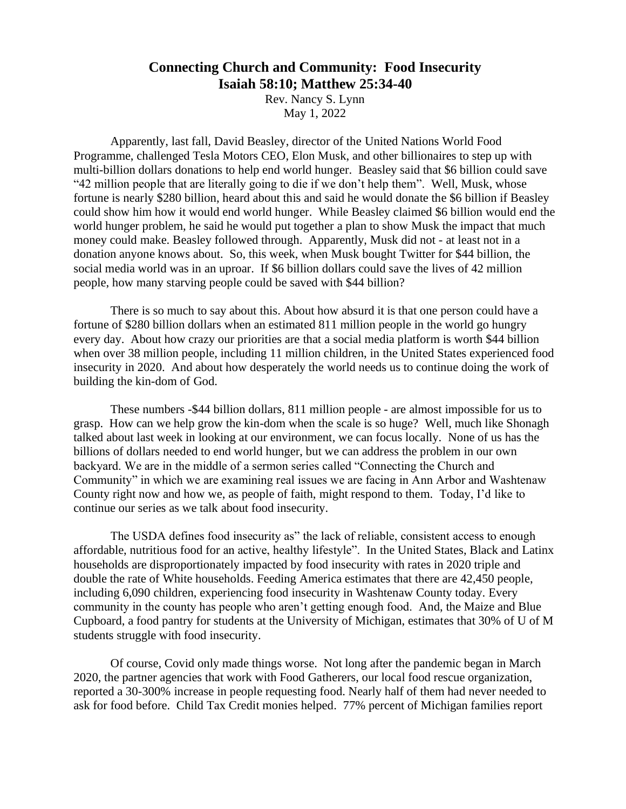## **Connecting Church and Community: Food Insecurity Isaiah 58:10; Matthew 25:34-40**

Rev. Nancy S. Lynn May 1, 2022

Apparently, last fall, David Beasley, director of the United Nations World Food Programme, challenged Tesla Motors CEO, Elon Musk, and other billionaires to step up with multi-billion dollars donations to help end world hunger. Beasley said that \$6 billion could save "42 million people that are literally going to die if we don't help them". Well, Musk, whose fortune is nearly \$280 billion, heard about this and said he would donate the \$6 billion if Beasley could show him how it would end world hunger. While Beasley claimed \$6 billion would end the world hunger problem, he said he would put together a plan to show Musk the impact that much money could make. Beasley followed through. Apparently, Musk did not - at least not in a donation anyone knows about. So, this week, when Musk bought Twitter for \$44 billion, the social media world was in an uproar. If \$6 billion dollars could save the lives of 42 million people, how many starving people could be saved with \$44 billion?

There is so much to say about this. About how absurd it is that one person could have a fortune of \$280 billion dollars when an estimated 811 million people in the world go hungry every day. About how crazy our priorities are that a social media platform is worth \$44 billion when over 38 million people, including 11 million children, in the United States experienced food insecurity in 2020. And about how desperately the world needs us to continue doing the work of building the kin-dom of God.

These numbers -\$44 billion dollars, 811 million people - are almost impossible for us to grasp. How can we help grow the kin-dom when the scale is so huge? Well, much like Shonagh talked about last week in looking at our environment, we can focus locally. None of us has the billions of dollars needed to end world hunger, but we can address the problem in our own backyard. We are in the middle of a sermon series called "Connecting the Church and Community" in which we are examining real issues we are facing in Ann Arbor and Washtenaw County right now and how we, as people of faith, might respond to them. Today, I'd like to continue our series as we talk about food insecurity.

The USDA defines food insecurity as" the lack of reliable, consistent access to enough affordable, nutritious food for an active, healthy lifestyle". In the United States, Black and Latinx households are disproportionately impacted by food insecurity with rates in 2020 triple and double the rate of White households. Feeding America estimates that there are 42,450 people, including 6,090 children, experiencing food insecurity in Washtenaw County today. Every community in the county has people who aren't getting enough food. And, the Maize and Blue Cupboard, a food pantry for students at the University of Michigan, estimates that 30% of U of M students struggle with food insecurity.

Of course, Covid only made things worse. Not long after the pandemic began in March 2020, the partner agencies that work with Food Gatherers, our local food rescue organization, reported a 30-300% increase in people requesting food. Nearly half of them had never needed to ask for food before. Child Tax Credit monies helped. 77% percent of Michigan families report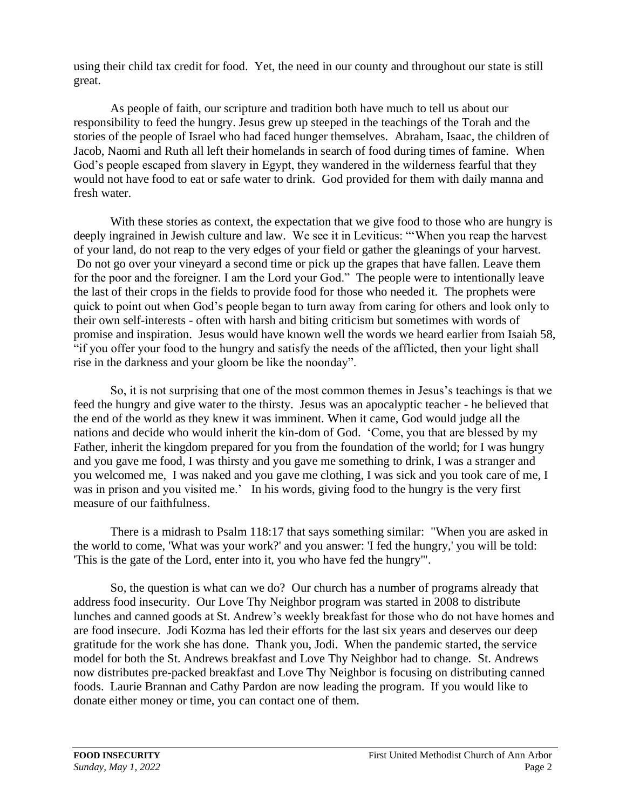using their child tax credit for food. Yet, the need in our county and throughout our state is still great.

As people of faith, our scripture and tradition both have much to tell us about our responsibility to feed the hungry. Jesus grew up steeped in the teachings of the Torah and the stories of the people of Israel who had faced hunger themselves. Abraham, Isaac, the children of Jacob, Naomi and Ruth all left their homelands in search of food during times of famine. When God's people escaped from slavery in Egypt, they wandered in the wilderness fearful that they would not have food to eat or safe water to drink. God provided for them with daily manna and fresh water.

With these stories as context, the expectation that we give food to those who are hungry is deeply ingrained in Jewish culture and law. We see it in Leviticus: "'When you reap the harvest of your land, do not reap to the very edges of your field or gather the gleanings of your harvest. Do not go over your vineyard a second time or pick up the grapes that have fallen. Leave them for the poor and the foreigner. I am the Lord your God." The people were to intentionally leave the last of their crops in the fields to provide food for those who needed it. The prophets were quick to point out when God's people began to turn away from caring for others and look only to their own self-interests - often with harsh and biting criticism but sometimes with words of promise and inspiration. Jesus would have known well the words we heard earlier from Isaiah 58, "if you offer your food to the hungry and satisfy the needs of the afflicted, then your light shall rise in the darkness and your gloom be like the noonday".

So, it is not surprising that one of the most common themes in Jesus's teachings is that we feed the hungry and give water to the thirsty. Jesus was an apocalyptic teacher - he believed that the end of the world as they knew it was imminent. When it came, God would judge all the nations and decide who would inherit the kin-dom of God. 'Come, you that are blessed by my Father, inherit the kingdom prepared for you from the foundation of the world; for I was hungry and you gave me food, I was thirsty and you gave me something to drink, I was a stranger and you welcomed me, I was naked and you gave me clothing, I was sick and you took care of me, I was in prison and you visited me.' In his words, giving food to the hungry is the very first measure of our faithfulness.

There is a midrash to Psalm 118:17 that says something similar: "When you are asked in the world to come, 'What was your work?' and you answer: 'I fed the hungry,' you will be told: 'This is the gate of the Lord, enter into it, you who have fed the hungry'".

So, the question is what can we do? Our church has a number of programs already that address food insecurity. Our Love Thy Neighbor program was started in 2008 to distribute lunches and canned goods at St. Andrew's weekly breakfast for those who do not have homes and are food insecure. Jodi Kozma has led their efforts for the last six years and deserves our deep gratitude for the work she has done. Thank you, Jodi. When the pandemic started, the service model for both the St. Andrews breakfast and Love Thy Neighbor had to change. St. Andrews now distributes pre-packed breakfast and Love Thy Neighbor is focusing on distributing canned foods. Laurie Brannan and Cathy Pardon are now leading the program. If you would like to donate either money or time, you can contact one of them.